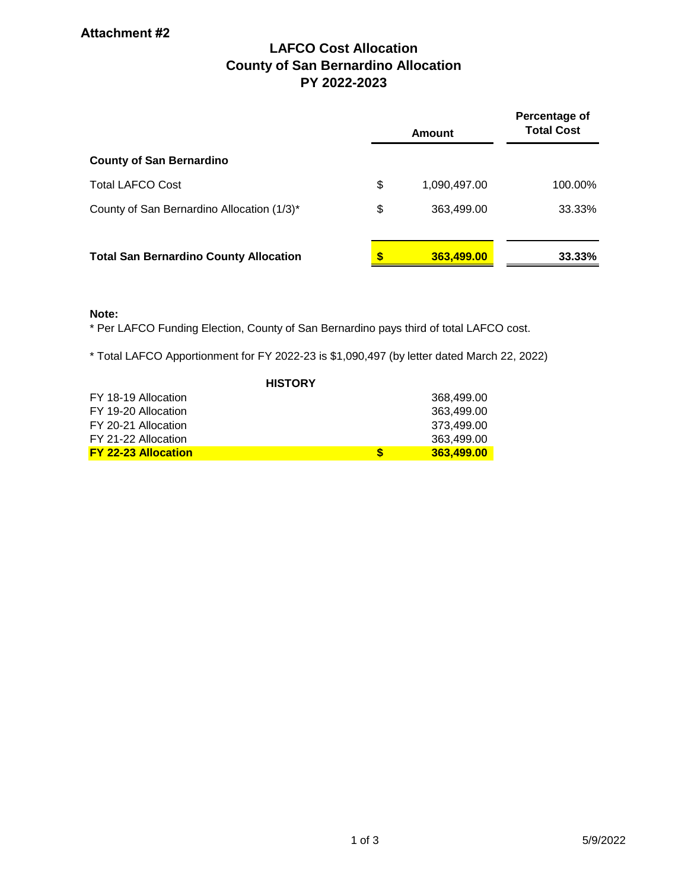# **LAFCO Cost Allocation County of San Bernardino Allocation PY 2022-2023**

|                                               |    | Amount       | Percentage of<br><b>Total Cost</b> |  |  |
|-----------------------------------------------|----|--------------|------------------------------------|--|--|
| <b>County of San Bernardino</b>               |    |              |                                    |  |  |
| <b>Total LAFCO Cost</b>                       | \$ | 1,090,497.00 | 100.00%                            |  |  |
| County of San Bernardino Allocation (1/3)*    | \$ | 363,499.00   | 33.33%                             |  |  |
| <b>Total San Bernardino County Allocation</b> | S  | 363,499.00   | 33.33%                             |  |  |

## **Note:**

\* Per LAFCO Funding Election, County of San Bernardino pays third of total LAFCO cost.

\* Total LAFCO Apportionment for FY 2022-23 is \$1,090,497 (by letter dated March 22, 2022)

| <b>HISTORY</b>             |   |            |  |  |  |  |  |  |
|----------------------------|---|------------|--|--|--|--|--|--|
| FY 18-19 Allocation        |   | 368.499.00 |  |  |  |  |  |  |
| FY 19-20 Allocation        |   | 363,499.00 |  |  |  |  |  |  |
| FY 20-21 Allocation        |   | 373.499.00 |  |  |  |  |  |  |
| FY 21-22 Allocation        |   | 363.499.00 |  |  |  |  |  |  |
| <b>FY 22-23 Allocation</b> | S | 363.499.00 |  |  |  |  |  |  |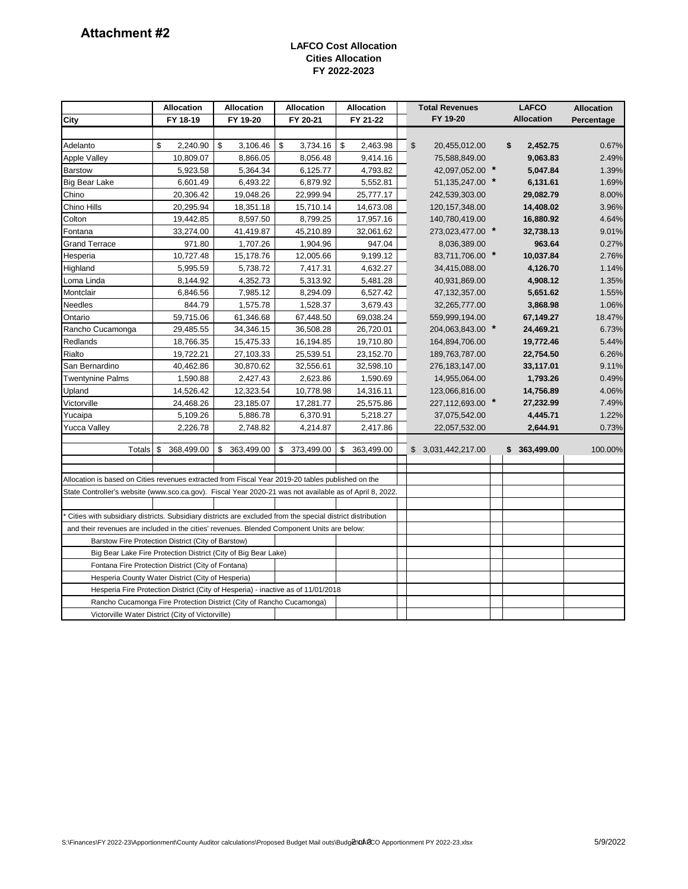### **LAFCO Cost Allocation Cities Allocation FY 2022-2023**

|                                                                                                            | <b>Allocation</b>                                              | <b>Allocation</b><br><b>Allocation</b> |                  | Allocation       |  | <b>Total Revenues</b>                      | <b>LAFCO</b> |                   | <b>Allocation</b> |
|------------------------------------------------------------------------------------------------------------|----------------------------------------------------------------|----------------------------------------|------------------|------------------|--|--------------------------------------------|--------------|-------------------|-------------------|
| City                                                                                                       | FY 18-19                                                       | FY 19-20                               | FY 20-21         | FY 21-22         |  | FY 19-20                                   |              | <b>Allocation</b> | Percentage        |
|                                                                                                            |                                                                |                                        |                  |                  |  |                                            |              |                   |                   |
| Adelanto                                                                                                   | \$<br>2,240.90                                                 | \$<br>3,106.46                         | \$<br>3,734.16   | \$<br>2,463.98   |  | $\boldsymbol{\mathsf{S}}$<br>20,455,012.00 |              | \$<br>2,452.75    | 0.67%             |
| <b>Apple Valley</b>                                                                                        | 10,809.07                                                      | 8,866.05                               | 8,056.48         | 9,414.16         |  | 75,588,849.00                              |              | 9,063.83          | 2.49%             |
| <b>Barstow</b>                                                                                             | 5,923.58                                                       | 5,364.34                               | 6,125.77         | 4,793.82         |  | 42,097,052.00 *                            |              | 5,047.84          | 1.39%             |
| <b>Big Bear Lake</b>                                                                                       | 6,601.49                                                       | 6,493.22                               | 6,879.92         | 5,552.81         |  | 51, 135, 247.00 *                          |              | 6,131.61          | 1.69%             |
| Chino                                                                                                      | 20,306.42                                                      | 19,048.26                              | 22,999.94        | 25,777.17        |  | 242,539,303.00                             |              | 29,082.79         | 8.00%             |
| Chino Hills                                                                                                | 20,295.94                                                      | 18,351.18                              | 15,710.14        | 14,673.08        |  | 120, 157, 348.00                           |              | 14,408.02         | 3.96%             |
| Colton                                                                                                     | 19,442.85                                                      | 8,597.50                               | 8,799.25         | 17,957.16        |  | 140,780,419.00                             |              | 16,880.92         | 4.64%             |
| Fontana                                                                                                    | 33,274.00                                                      | 41,419.87                              | 45,210.89        | 32,061.62        |  | 273,023,477.00 *                           |              | 32,738.13         | 9.01%             |
| <b>Grand Terrace</b>                                                                                       | 971.80                                                         | 1,707.26                               | 1,904.96         | 947.04           |  | 8,036,389.00                               |              | 963.64            | 0.27%             |
| Hesperia                                                                                                   | 10,727.48                                                      | 15,178.76                              | 12,005.66        | 9,199.12         |  | 83,711,706.00 *                            |              | 10,037.84         | 2.76%             |
| Highland                                                                                                   | 5,995.59                                                       | 5,738.72                               | 7,417.31         | 4,632.27         |  | 34,415,088.00                              |              | 4,126.70          | 1.14%             |
| Loma Linda                                                                                                 | 8,144.92                                                       | 4,352.73                               | 5,313.92         | 5,481.28         |  | 40,931,869.00                              |              | 4,908.12          | 1.35%             |
| Montclair                                                                                                  | 6,846.56                                                       | 7,985.12                               | 8,294.09         | 6,527.42         |  | 47, 132, 357.00                            |              | 5,651.62          | 1.55%             |
| <b>Needles</b>                                                                                             | 844.79                                                         | 1,575.78                               | 1,528.37         | 3,679.43         |  | 32,265,777.00                              |              | 3,868.98          | 1.06%             |
| Ontario                                                                                                    | 59,715.06                                                      | 61,346.68                              | 67,448.50        | 69,038.24        |  | 559,999,194.00                             |              | 67,149.27         | 18.47%            |
| Rancho Cucamonga                                                                                           | 29,485.55                                                      | 34,346.15                              | 36,508.28        | 26,720.01        |  | 204,063,843.00 *                           |              | 24,469.21         | 6.73%             |
| Redlands                                                                                                   | 18,766.35                                                      | 15,475.33                              | 16,194.85        | 19,710.80        |  | 164,894,706.00                             |              | 19,772.46         | 5.44%             |
| Rialto                                                                                                     | 19,722.21                                                      | 27,103.33                              | 25,539.51        | 23,152.70        |  | 189,763,787.00                             |              | 22,754.50         | 6.26%             |
| San Bernardino                                                                                             | 40,462.86                                                      | 30,870.62                              | 32,556.61        | 32,598.10        |  | 276, 183, 147.00                           |              | 33,117.01         | 9.11%             |
| <b>Twentynine Palms</b>                                                                                    | 1,590.88                                                       | 2,427.43                               | 2,623.86         | 1,590.69         |  | 14,955,064.00                              |              | 1,793.26          | 0.49%             |
| Upland                                                                                                     | 14,526.42                                                      | 12,323.54                              | 10,778.98        | 14,316.11        |  | 123,066,816.00                             |              | 14,756.89         | 4.06%             |
| Victorville                                                                                                | 24,468.26                                                      | 23,185.07                              | 17,281.77        | 25,575.86        |  | 227,112,693.00 *                           |              | 27,232.99         | 7.49%             |
| Yucaipa                                                                                                    | 5,109.26                                                       | 5,886.78                               | 6,370.91         | 5,218.27         |  | 37,075,542.00                              |              | 4,445.71          | 1.22%             |
| <b>Yucca Valley</b>                                                                                        | 2,226.78                                                       | 2,748.82                               | 4,214.87         | 2,417.86         |  | 22,057,532.00                              |              | 2,644.91          | 0.73%             |
| Totals                                                                                                     | 368,499.00<br>\$                                               | 363,499.00<br>\$                       | 373,499.00<br>\$ | 363,499.00<br>\$ |  | \$3,031,442,217.00                         |              | 363,499.00<br>\$  | 100.00%           |
|                                                                                                            |                                                                |                                        |                  |                  |  |                                            |              |                   |                   |
| Allocation is based on Cities revenues extracted from Fiscal Year 2019-20 tables published on the          |                                                                |                                        |                  |                  |  |                                            |              |                   |                   |
| State Controller's website (www.sco.ca.gov). Fiscal Year 2020-21 was not available as of April 8, 2022.    |                                                                |                                        |                  |                  |  |                                            |              |                   |                   |
|                                                                                                            |                                                                |                                        |                  |                  |  |                                            |              |                   |                   |
| Cities with subsidiary districts. Subsidiary districts are excluded from the special district distribution |                                                                |                                        |                  |                  |  |                                            |              |                   |                   |
| and their revenues are included in the cities' revenues. Blended Component Units are below:                |                                                                |                                        |                  |                  |  |                                            |              |                   |                   |
| Barstow Fire Protection District (City of Barstow)                                                         |                                                                |                                        |                  |                  |  |                                            |              |                   |                   |
|                                                                                                            | Big Bear Lake Fire Protection District (City of Big Bear Lake) |                                        |                  |                  |  |                                            |              |                   |                   |
| Fontana Fire Protection District (City of Fontana)                                                         |                                                                |                                        |                  |                  |  |                                            |              |                   |                   |
| Hesperia County Water District (City of Hesperia)                                                          |                                                                |                                        |                  |                  |  |                                            |              |                   |                   |
| Hesperia Fire Protection District (City of Hesperia) - inactive as of 11/01/2018                           |                                                                |                                        |                  |                  |  |                                            |              |                   |                   |
| Rancho Cucamonga Fire Protection District (City of Rancho Cucamonga)                                       |                                                                |                                        |                  |                  |  |                                            |              |                   |                   |
| Victorville Water District (City of Victorville)                                                           |                                                                |                                        |                  |                  |  |                                            |              |                   |                   |